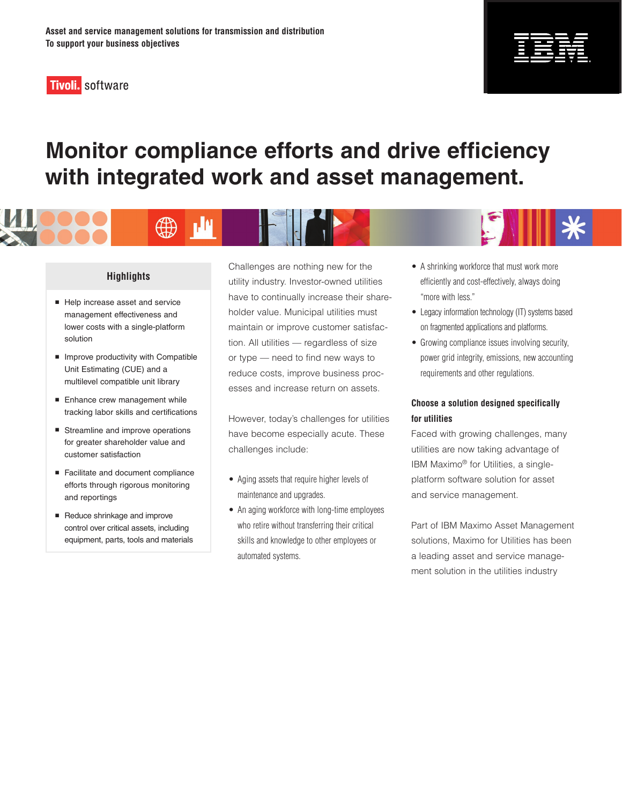

# **Monitor compliance efforts and drive efficiency with integrated work and asset management.**



∰

- Help increase asset and service management effectiveness and lower costs with a single-platform solution
- **Improve productivity with Compatible** Unit Estimating (CUE) and a multilevel compatible unit library
- Enhance crew management while tracking labor skills and certifications
- Streamline and improve operations for greater shareholder value and customer satisfaction
- Facilitate and document compliance efforts through rigorous monitoring and reportings
- Reduce shrinkage and improve control over critical assets, including equipment, parts, tools and materials

Challenges are nothing new for the utility industry. Investor-owned utilities have to continually increase their shareholder value. Municipal utilities must maintain or improve customer satisfaction. All utilities — regardless of size or type — need to find new ways to reduce costs, improve business processes and increase return on assets.

However, today's challenges for utilities have become especially acute. These challenges include:

- Aging assets that require higher levels of maintenance and upgrades.
- An aging workforce with long-time employees who retire without transferring their critical skills and knowledge to other employees or automated systems.
- A shrinking workforce that must work more efficiently and cost-effectively, always doing "more with less."
- Legacy information technology (IT) systems based on fragmented applications and platforms.
- Growing compliance issues involving security, power grid integrity, emissions, new accounting requirements and other regulations.

## **Choose a solution designed specifically for utilities**

Faced with growing challenges, many utilities are now taking advantage of IBM Maximo® for Utilities, a singleplatform software solution for asset and service management.

Part of IBM Maximo Asset Management solutions, Maximo for Utilities has been a leading asset and service management solution in the utilities industry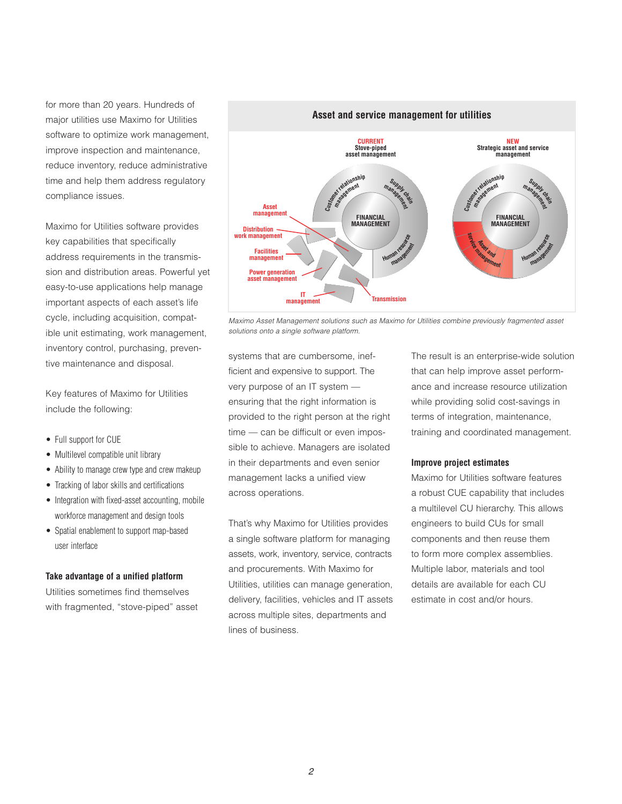for more than 20 years. Hundreds of major utilities use Maximo for Utilities software to optimize work management, improve inspection and maintenance, reduce inventory, reduce administrative time and help them address regulatory compliance issues.

Maximo for Utilities software provides key capabilities that specifically address requirements in the transmission and distribution areas. Powerful yet easy-to-use applications help manage important aspects of each asset's life cycle, including acquisition, compatible unit estimating, work management, inventory control, purchasing, preventive maintenance and disposal.

Key features of Maximo for Utilities include the following:

- Full support for CUE
- Multilevel compatible unit library
- Ability to manage crew type and crew makeup
- Tracking of labor skills and certifications
- Integration with fixed-asset accounting, mobile workforce management and design tools
- Spatial enablement to support map-based user interface

#### **Take advantage of a unified platform**

Utilities sometimes find themselves with fragmented, "stove-piped" asset



*Maximo Asset Management solutions such as Maximo for Utilities combine previously fragmented asset solutions onto a single software platform.*

systems that are cumbersome, inefficient and expensive to support. The very purpose of an IT system ensuring that the right information is provided to the right person at the right time — can be difficult or even impossible to achieve. Managers are isolated in their departments and even senior management lacks a unified view across operations.

That's why Maximo for Utilities provides a single software platform for managing assets, work, inventory, service, contracts and procurements. With Maximo for Utilities, utilities can manage generation, delivery, facilities, vehicles and IT assets across multiple sites, departments and lines of business.

The result is an enterprise-wide solution that can help improve asset performance and increase resource utilization while providing solid cost-savings in terms of integration, maintenance, training and coordinated management.

#### **Improve project estimates**

Maximo for Utilities software features a robust CUE capability that includes a multilevel CU hierarchy. This allows engineers to build CUs for small components and then reuse them to form more complex assemblies. Multiple labor, materials and tool details are available for each CU estimate in cost and/or hours.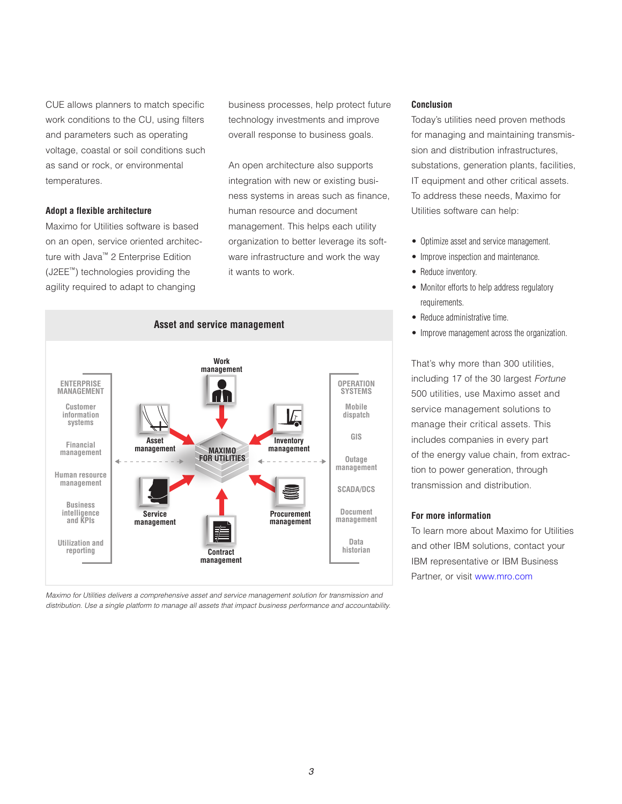CUE allows planners to match specific work conditions to the CU, using filters and parameters such as operating voltage, coastal or soil conditions such as sand or rock, or environmental temperatures.

#### **Adopt a flexible architecture**

Maximo for Utilities software is based on an open, service oriented architecture with Java™ 2 Enterprise Edition (J2EE™) technologies providing the agility required to adapt to changing

business processes, help protect future technology investments and improve overall response to business goals.

An open architecture also supports integration with new or existing business systems in areas such as finance, human resource and document management. This helps each utility organization to better leverage its software infrastructure and work the way it wants to work.



*Maximo for Utilities delivers a comprehensive asset and service management solution for transmission and distribution. Use a single platform to manage all assets that impact business performance and accountability.*

#### **Conclusion**

Today's utilities need proven methods for managing and maintaining transmission and distribution infrastructures, substations, generation plants, facilities, IT equipment and other critical assets. To address these needs, Maximo for Utilities software can help:

- Optimize asset and service management.
- Improve inspection and maintenance.
- Reduce inventory.
- Monitor efforts to help address regulatory requirements.
- Reduce administrative time.
- Improve management across the organization.

That's why more than 300 utilities, including 17 of the 30 largest *Fortune* 500 utilities, use Maximo asset and service management solutions to manage their critical assets. This includes companies in every part of the energy value chain, from extraction to power generation, through transmission and distribution.

### **For more information**

To learn more about Maximo for Utilities and other IBM solutions, contact your IBM representative or IBM Business Partner, or visit [www.mro.com](http://www.mro.com)